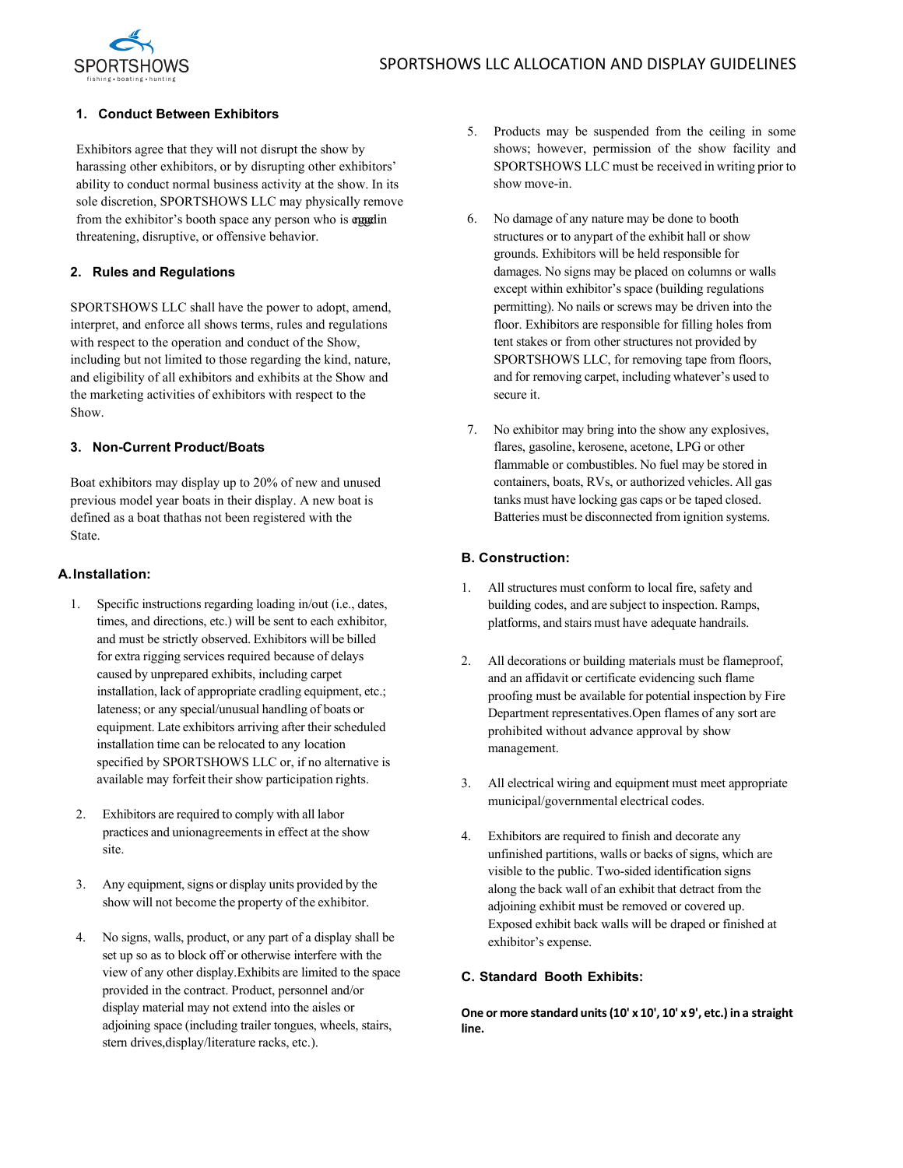

# **1. Conduct Between Exhibitors**

Exhibitors agree that they will not disrupt the show by harassing other exhibitors, or by disrupting other exhibitors' ability to conduct normal business activity at the show. In its sole discretion, SPORTSHOWS LLC may physically remove from the exhibitor's booth space any person who is engadin threatening, disruptive, or offensive behavior.

## **2. Rules and Regulations**

SPORTSHOWS LLC shall have the power to adopt, amend, interpret, and enforce all shows terms, rules and regulations with respect to the operation and conduct of the Show, including but not limited to those regarding the kind, nature, and eligibility of all exhibitors and exhibits at the Show and the marketing activities of exhibitors with respect to the Show.

## **3. Non-Current Product/Boats**

Boat exhibitors may display up to 20% of new and unused previous model year boats in their display. A new boat is defined as a boat that has not been registered with the State.

## **A.Installation:**

- 1. Specific instructions regarding loading in/out (i.e., dates, times, and directions, etc.) will be sent to each exhibitor, and must be strictly observed. Exhibitors will be billed for extra rigging services required because of delays caused by unprepared exhibits, including carpet installation, lack of appropriate cradling equipment, etc.; lateness; or any special/unusual handling of boats or equipment. Late exhibitors arriving after their scheduled installation time can be relocated to any location specified by SPORTSHOWS LLC or, if no alternative is available may forfeit their show participation rights.
- 2. Exhibitors are required to comply with all labor practices and unionagreements in effect at the show site.
- 3. Any equipment, signs or display units provided by the show will not become the property of the exhibitor.
- 4. No signs, walls, product, or any part of a display shall be set up so as to block off or otherwise interfere with the view of any other display.Exhibits are limited to the space provided in the contract. Product, personnel and/or display material may not extend into the aisles or adjoining space (including trailer tongues, wheels, stairs, stern drives,display/literature racks, etc.).
- 5. Products may be suspended from the ceiling in some shows; however, permission of the show facility and SPORTSHOWS LLC must be received in writing prior to show move-in.
- 6. No damage of any nature may be done to booth structures or to anypart of the exhibit hall or show grounds. Exhibitors will be held responsible for damages. No signs may be placed on columns or walls except within exhibitor's space (building regulations permitting). No nails or screws may be driven into the floor. Exhibitors are responsible for filling holes from tent stakes or from other structures not provided by SPORTSHOWS LLC, for removing tape from floors, and for removing carpet, including whatever's used to secure it.
- 7. No exhibitor may bring into the show any explosives, flares, gasoline, kerosene, acetone, LPG or other flammable or combustibles. No fuel may be stored in containers, boats, RVs, or authorized vehicles. All gas tanks must have locking gas caps or be taped closed. Batteries must be disconnected from ignition systems.

## **B. Construction:**

- 1. All structures must conform to local fire, safety and building codes, and are subject to inspection. Ramps, platforms, and stairs must have adequate handrails.
- 2. All decorations or building materials must be flameproof, and an affidavit or certificate evidencing such flame proofing must be available for potential inspection by Fire Department representatives.Open flames of any sort are prohibited without advance approval by show management.
- 3. All electrical wiring and equipment must meet appropriate municipal/governmental electrical codes.
- 4. Exhibitors are required to finish and decorate any unfinished partitions, walls or backs of signs, which are visible to the public. Two-sided identification signs along the back wall of an exhibit that detract from the adjoining exhibit must be removed or covered up. Exposed exhibit back walls will be draped or finished at exhibitor's expense.

## **C. Standard Booth Exhibits:**

**One or more standard units(10' x 10', 10' x 9', etc.) in a straight line.**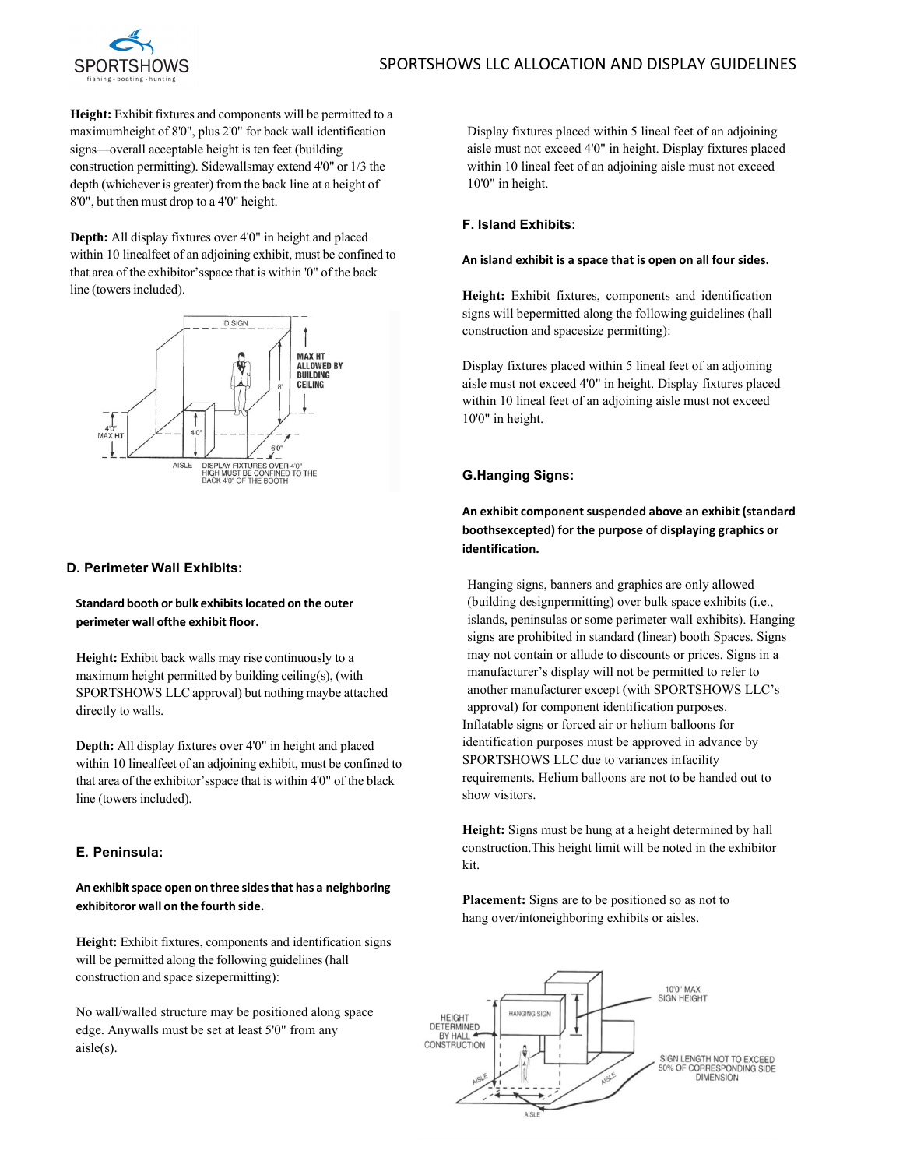

**Height:** Exhibit fixtures and components will be permitted to a maximumheight of 8'0", plus 2'0" for back wall identification signs—overall acceptable height is ten feet (building construction permitting). Sidewallsmay extend 4'0" or 1/3 the depth (whichever is greater) from the back line at a height of 8'0", but then must drop to a 4'0" height.

**Depth:** All display fixtures over 4'0" in height and placed within 10 linealfeet of an adjoining exhibit, must be confined to that area of the exhibitor'sspace that is within '0" of the back line (towers included).



## **D. Perimeter Wall Exhibits:**

**Standard booth or bulk exhibitslocated on the outer perimeter wall ofthe exhibit floor.**

Height: Exhibit back walls may rise continuously to a maximum height permitted by building ceiling(s), (with SPORTSHOWS LLC approval) but nothing maybe attached directly to walls.

**Depth:** All display fixtures over 4'0" in height and placed within 10 linealfeet of an adjoining exhibit, must be confined to that area of the exhibitor'sspace that is within 4'0" of the black line (towers included).

# **E. Peninsula:**

**An exhibitspace open on three sidesthat has a neighboring exhibitoror wall on the fourth side.**

**Height:** Exhibit fixtures, components and identification signs will be permitted along the following guidelines (hall construction and space sizepermitting):

No wall/walled structure may be positioned along space edge. Anywalls must be set at least 5'0" from any aisle(s).

Display fixtures placed within 5 lineal feet of an adjoining aisle must not exceed 4'0" in height. Display fixtures placed within 10 lineal feet of an adjoining aisle must not exceed 10'0" in height.

## **F. Island Exhibits:**

#### **An island exhibit is a space that is open on all four sides.**

**Height:** Exhibit fixtures, components and identification signs will bepermitted along the following guidelines (hall construction and spacesize permitting):

Display fixtures placed within 5 lineal feet of an adjoining aisle must not exceed 4'0" in height. Display fixtures placed within 10 lineal feet of an adjoining aisle must not exceed 10'0" in height.

# **G.Hanging Signs:**

**An exhibit componentsuspended above an exhibit (standard boothsexcepted) for the purpose of displaying graphics or identification.**

Hanging signs, banners and graphics are only allowed (building designpermitting) over bulk space exhibits (i.e., islands, peninsulas or some perimeter wall exhibits). Hanging signs are prohibited in standard (linear) booth Spaces. Signs may not contain or allude to discounts or prices. Signs in a manufacturer's display will not be permitted to refer to another manufacturer except (with SPORTSHOWS LLC's approval) for component identification purposes. Inflatable signs or forced air or helium balloons for identification purposes must be approved in advance by SPORTSHOWS LLC due to variances infacility requirements. Helium balloons are not to be handed out to show visitors.

**Height:** Signs must be hung at a height determined by hall construction.This height limit will be noted in the exhibitor kit.

**Placement:** Signs are to be positioned so as not to hang over/intoneighboring exhibits or aisles.

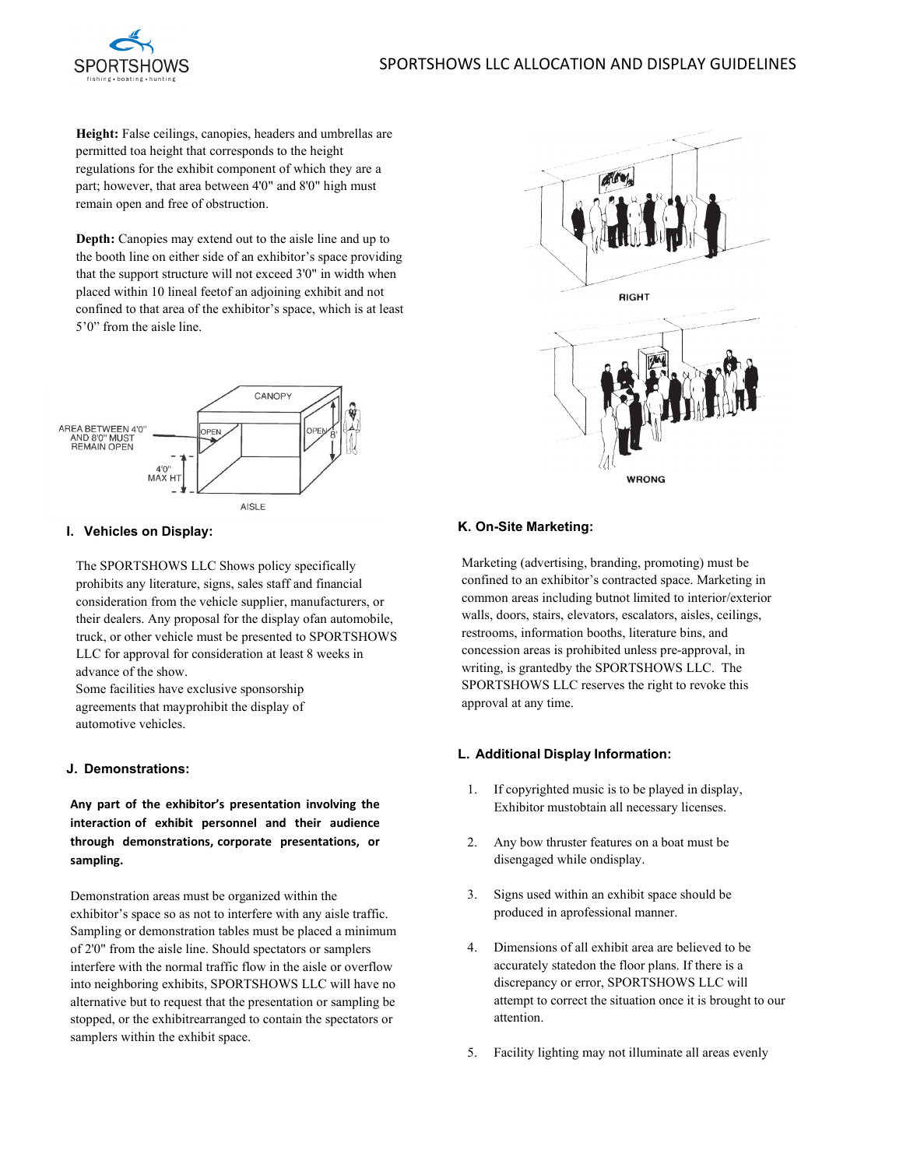# SPORTSHOWS LLC ALLOCATION AND DISPLAY GUIDELINES



**Height:** False ceilings, canopies, headers and umbrellas are permitted toa height that corresponds to the height regulations for the exhibit component of which they are a part; however, that area between 4'0" and 8'0" high must remain open and free of obstruction.

**Depth:** Canopies may extend out to the aisle line and up to the booth line on either side of an exhibitor's space providing that the support structure will not exceed 3'0" in width when placed within 10 lineal feetof an adjoining exhibit and not confined to that area of the exhibitor's space, which is at least 5'0" from the aisle line.



## **I. Vehicles on Display:**

The SPORTSHOWS LLC Shows policy specifically prohibits any literature, signs, sales staff and financial consideration from the vehicle supplier, manufacturers, or their dealers. Any proposal for the display ofan automobile, truck, or other vehicle must be presented to SPORTSHOWS LLC for approval for consideration at least 8 weeks in advance of the show.

Some facilities have exclusive sponsorship agreements that mayprohibit the display of automotive vehicles.

#### **J. Demonstrations:**

**Any part of the exhibitor's presentation involving the interaction of exhibit personnel and their audience through demonstrations, corporate presentations, or sampling.**

Demonstration areas must be organized within the exhibitor's space so as not to interfere with any aisle traffic. Sampling or demonstration tables must be placed a minimum of 2'0" from the aisle line. Should spectators or samplers interfere with the normal traffic flow in the aisle or overflow into neighboring exhibits, SPORTSHOWS LLC will have no alternative but to request that the presentation or sampling be stopped, or the exhibitrearranged to contain the spectators or samplers within the exhibit space.



# **K. On-Site Marketing:**

Marketing (advertising, branding, promoting) must be confined to an exhibitor's contracted space. Marketing in common areas including butnot limited to interior/exterior walls, doors, stairs, elevators, escalators, aisles, ceilings, restrooms, information booths, literature bins, and concession areas is prohibited unless pre-approval, in writing, is grantedby the SPORTSHOWS LLC. The SPORTSHOWS LLC reserves the right to revoke this approval at any time.

#### **L. Additional Display Information:**

- 1. If copyrighted music is to be played in display, Exhibitor mustobtain all necessary licenses.
- 2. Any bow thruster features on a boat must be disengaged while ondisplay.
- 3. Signs used within an exhibit space should be produced in aprofessional manner.
- 4. Dimensions of all exhibit area are believed to be accurately statedon the floor plans. If there is a discrepancy or error, SPORTSHOWS LLC will attempt to correct the situation once it is brought to our attention.
- 5. Facility lighting may not illuminate all areas evenly